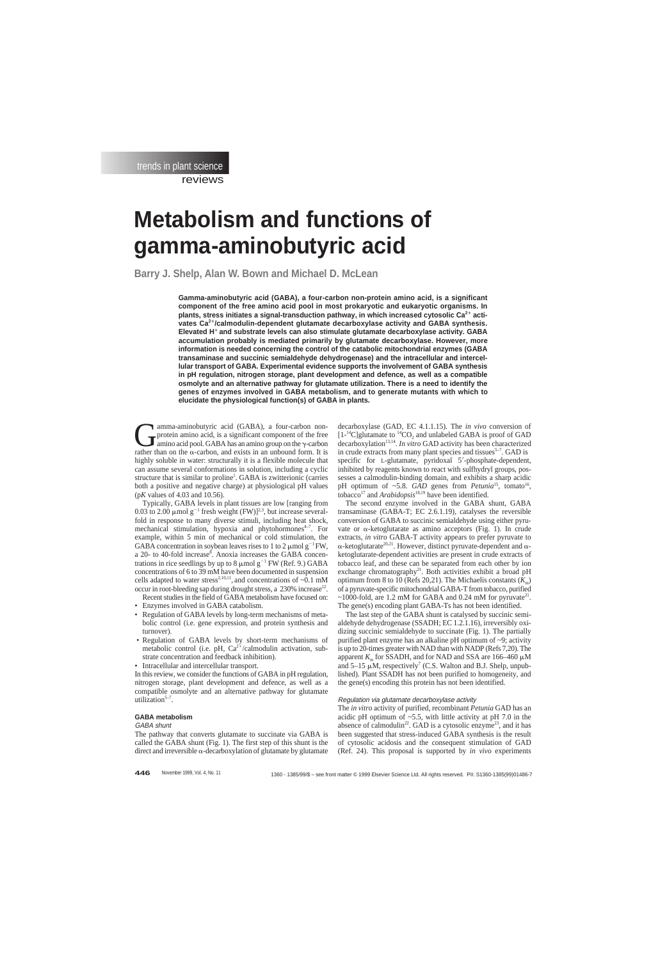# **Metabolism and functions of gamma-aminobutyric acid**

**Barry J. Shelp, Alan W. Bown and Michael D. McLean**

**Gamma-aminobutyric acid (GABA), a four-carbon non-protein amino acid, is a significant component of the free amino acid pool in most prokaryotic and eukaryotic organisms. In** plants, stress initiates a signal-transduction pathway, in which increased cytosolic Ca<sup>2+</sup> acti**vates Ca2**<sup>1</sup>**/calmodulin-dependent glutamate decarboxylase activity and GABA synthesis. Elevated H**<sup>1</sup> **and substrate levels can also stimulate glutamate decarboxylase activity. GABA accumulation probably is mediated primarily by glutamate decarboxylase. However, more information is needed concerning the control of the catabolic mitochondrial enzymes (GABA transaminase and succinic semialdehyde dehydrogenase) and the intracellular and intercellular transport of GABA. Experimental evidence supports the involvement of GABA synthesis in pH regulation, nitrogen storage, plant development and defence, as well as a compatible osmolyte and an alternative pathway for glutamate utilization. There is a need to identify the genes of enzymes involved in GABA metabolism, and to generate mutants with which to elucidate the physiological function(s) of GABA in plants.**

**C**amma-aminobutyric acid (GABA), a four-carbon non-<br>protein amino acid, is a significant component of the free<br>amino acid pool. GABA has an amino group on the  $\gamma$ -carbon<br>rather than on the  $\alpha$ -carbon and exists in an u protein amino acid, is a significant component of the free rather than on the  $\alpha$ -carbon, and exists in an unbound form. It is highly soluble in water: structurally it is a flexible molecule that can assume several conformations in solution, including a cyclic structure that is similar to proline<sup>1</sup>. GABA is zwitterionic (carries both a positive and negative charge) at physiological pH values (p*K* values of 4.03 and 10.56).

Typically, GABA levels in plant tissues are low [ranging from 0.03 to 2.00  $\mu$ mol g<sup>-1</sup> fresh weight (FW)]<sup>2,3</sup>, but increase severalfold in response to many diverse stimuli, including heat shock, mechanical stimulation, hypoxia and phytohormones $4-7$ . For example, within 5 min of mechanical or cold stimulation, the GABA concentration in soybean leaves rises to 1 to 2  $\mu$ mol g<sup>-1</sup> FW, a 20- to 40-fold increase<sup>8</sup>. Anoxia increases the GABA concentrations in rice seedlings by up to 8  $\mu$ mol g<sup>-1</sup> FW (Ref. 9.) GABA concentrations of 6 to 39 mM have been documented in suspension cells adapted to water stress<sup>2,10,11</sup>, and concentrations of  $\sim 0.1$  mM occur in root-bleeding sap during drought stress, a 230% increase<sup>12</sup>.

Recent studies in the field of GABA metabolism have focused on:

- Enzymes involved in GABA catabolism.
- Regulation of GABA levels by long-term mechanisms of metabolic control (i.e. gene expression, and protein synthesis and turnover).
- Regulation of GABA levels by short-term mechanisms of metabolic control (i.e. pH,  $Ca^{2+}/c$ almodulin activation, substrate concentration and feedback inhibition).
- Intracellular and intercellular transport.

In this review, we consider the functions of GABA in pH regulation, nitrogen storage, plant development and defence, as well as a compatible osmolyte and an alternative pathway for glutamate utilization $5-7$ .

## **GABA metabolism**

## GABA shunt

The pathway that converts glutamate to succinate via GABA is called the GABA shunt (Fig. 1). The first step of this shunt is the direct and irreversible  $\alpha$ -decarboxylation of glutamate by glutamate

decarboxylase (GAD, EC 4.1.1.15). The *in vivo* conversion of  $[1^{-14}C]$ glutamate to  ${}^{14}CO_2$  and unlabeled GABA is proof of GAD decarboxylation<sup>13,14</sup>. *In vitro* GAD activity has been characterized in crude extracts from many plant species and tissues<sup>5-7</sup>. GAD is specific for L-glutamate, pyridoxal 5'-phosphate-dependent, inhibited by reagents known to react with sulfhydryl groups, possesses a calmodulin-binding domain, and exhibits a sharp acidic pH optimum of  $\sim$ 5.8. *GAD* genes from *Petunia*<sup>15</sup>, tomato<sup>16</sup>, tobacco<sup>17</sup> and *Arabidopsis*<sup>18,19</sup> have been identified.

The second enzyme involved in the GABA shunt, GABA transaminase (GABA-T; EC 2.6.1.19), catalyses the reversible conversion of GABA to succinic semialdehyde using either pyruvate or  $\alpha$ -ketoglutarate as amino acceptors (Fig. 1). In crude extracts, *in vitro* GABA-T activity appears to prefer pyruvate to  $\alpha$ -ketoglutarate<sup>20,21</sup>. However, distinct pyruvate-dependent and  $\alpha$ ketoglutarate-dependent activities are present in crude extracts of tobacco leaf, and these can be separated from each other by ion exchange chromatography<sup>21</sup>. Both activities exhibit a broad  $pH$ optimum from 8 to 10 (Refs 20,21). The Michaelis constants  $(K<sub>m</sub>)$ of a pyruvate-specific mitochondrial GABA-T from tobacco, purified  $\sim$ 1000-fold, are 1.2 mM for GABA and 0.24 mM for pyruvate<sup>21</sup>. The gene(s) encoding plant GABA-Ts has not been identified.

The last step of the GABA shunt is catalysed by succinic semialdehyde dehydrogenase (SSADH; EC 1.2.1.16), irreversibly oxidizing succinic semialdehyde to succinate (Fig. 1). The partially purified plant enzyme has an alkaline pH optimum of ~9; activity is up to 20-times greater with NAD than with NADP (Refs 7,20). The apparent  $K<sub>m</sub>$  for SSADH, and for NAD and SSA are 166–460  $\mu$ M and  $5-15 \mu M$ , respectively<sup>7</sup> (C.S. Walton and B.J. Shelp, unpublished). Plant SSADH has not been purified to homogeneity, and the gene(s) encoding this protein has not been identified.

#### Regulation via glutamate decarboxylase activity

The *in vitro* activity of purified, recombinant *Petunia* GAD has an acidic pH optimum of ~5.5, with little activity at pH 7.0 in the absence of calmodulin<sup>22</sup>. GAD is a cytosolic enzyme<sup>23</sup>, and it has been suggested that stress-induced GABA synthesis is the result of cytosolic acidosis and the consequent stimulation of GAD (Ref. 24). This proposal is supported by *in vivo* experiments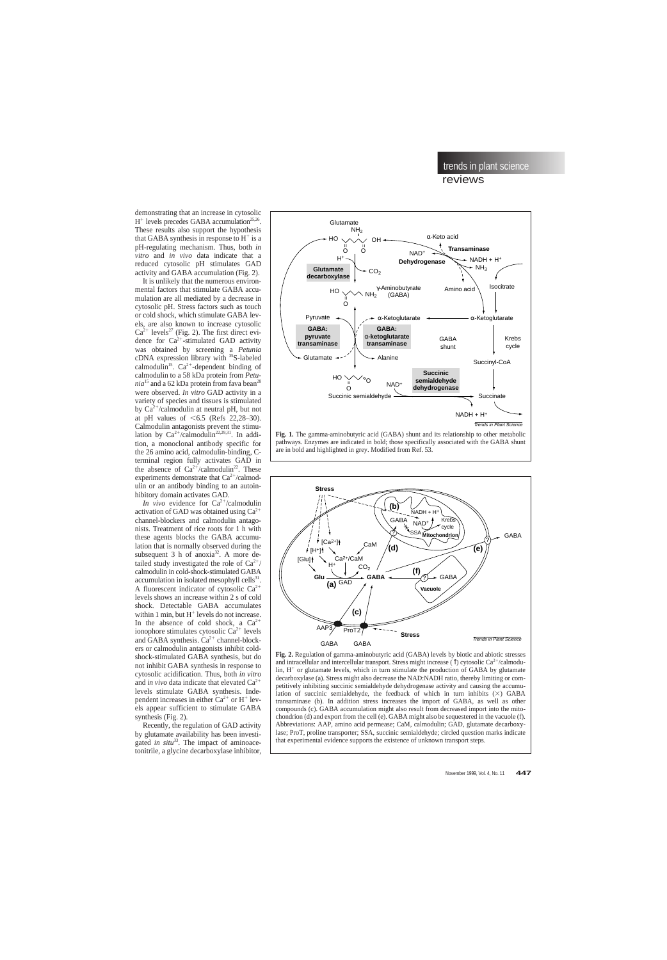demonstrating that an increase in cytosolic  $H^+$  levels precedes GABA accumulation<sup>25,26</sup> These results also support the hypothesis that GABA synthesis in response to  $H^+$  is a pH-regulating mechanism. Thus, both *in vitro* and *in vivo* data indicate that a reduced cytosolic pH stimulates GAD activity and GABA accumulation (Fig. 2).

It is unlikely that the numerous environmental factors that stimulate GABA accumulation are all mediated by a decrease in cytosolic pH. Stress factors such as touch or cold shock, which stimulate GABA levels, are also known to increase cytosolic  $Ca^{2+}$  levels<sup>27</sup> (Fig. 2). The first direct evidence for  $Ca^{2+}$ -stimulated GAD activity was obtained by screening a *Petunia* cDNA expression library with 35S-labeled calmodulin<sup>15</sup>.  $Ca^{2+}$ -dependent binding of calmodulin to a 58 kDa protein from *Petu* $nia^{15}$  and a 62 kDa protein from fava bean<sup>28</sup> were observed. *In vitro* GAD activity in a variety of species and tissues is stimulated by  $Ca^{2+}/calmoduli$  at neutral pH, but not at pH values of  $<6.5$  (Refs 22,28–30). Calmodulin antagonists prevent the stimulation by  $Ca^{2+}/cal$ nodulin<sup>22,29,31</sup>. In addition, a monoclonal antibody specific for the 26 amino acid, calmodulin-binding, Cterminal region fully activates GAD in the absence of  $Ca^{2+}/cal$ calmodulin<sup>22</sup>. These experiments demonstrate that  $Ca^{2+}/cal$ calmodulin or an antibody binding to an autoinhibitory domain activates GAD.

*In vivo* evidence for  $Ca^{2+}/cal$ calmodulin activation of GAD was obtained using  $Ca^{2+}$ channel-blockers and calmodulin antagonists. Treatment of rice roots for 1 h with these agents blocks the GABA accumulation that is normally observed during the subsequent 3 h of anoxia<sup>32</sup>. A more detailed study investigated the role of  $Ca^{2+}/$ calmodulin in cold-shock-stimulated GABA accumulation in isolated mesophyll cells<sup>31</sup> A fluorescent indicator of cytosolic  $Ca^{2+}$ levels shows an increase within 2 s of cold shock. Detectable GABA accumulates within 1 min, but  $H^+$  levels do not increase. In the absence of cold shock, a  $Ca^{2+}$ ionophore stimulates cytosolic  $Ca^{2+}$  levels and GABA synthesis.  $Ca^{2+}$  channel-blockers or calmodulin antagonists inhibit coldshock-stimulated GABA synthesis, but do not inhibit GABA synthesis in response to cytosolic acidification. Thus, both *in vitro* and *in vivo* data indicate that elevated  $Ca^{2+}$ levels stimulate GABA synthesis. Independent increases in either  $Ca^{2+}$  or H<sup>+</sup> levels appear sufficient to stimulate GABA synthesis (Fig. 2).

Recently, the regulation of GAD activity by glutamate availability has been investigated *in situ*<sup>33</sup>. The impact of aminoacetonitrile, a glycine decarboxylase inhibitor,



**Fig. 1.** The gamma-aminobutyric acid (GABA) shunt and its relationship to other metabolic pathways. Enzymes are indicated in bold; those specifically associated with the GABA shunt are in bold and highlighted in grey. Modified from Ref. 53.



**Fig. 2.** Regulation of gamma-aminobutyric acid (GABA) levels by biotic and abiotic stresses and intracellular and intercellular transport. Stress might increase  $(\uparrow)$  cytosolic Ca<sup>2+</sup>/calmodulin,  $H<sup>+</sup>$  or glutamate levels, which in turn stimulate the production of GABA by glutamate decarboxylase (a). Stress might also decrease the NAD:NADH ratio, thereby limiting or competitively inhibiting succinic semialdehyde dehydrogenase activity and causing the accumulation of succinic semialdehyde, the feedback of which in turn inhibits  $(X)$  GABA transaminase (b). In addition stress increases the import of GABA, as well as other compounds (c). GABA accumulation might also result from decreased import into the mitochondrion (d) and export from the cell (e). GABA might also be sequestered in the vacuole (f). Abbreviations: AAP, amino acid permease; CaM, calmodulin; GAD, glutamate decarboxylase; ProT, proline transporter; SSA, succinic semialdehyde; circled question marks indicate that experimental evidence supports the existence of unknown transport steps.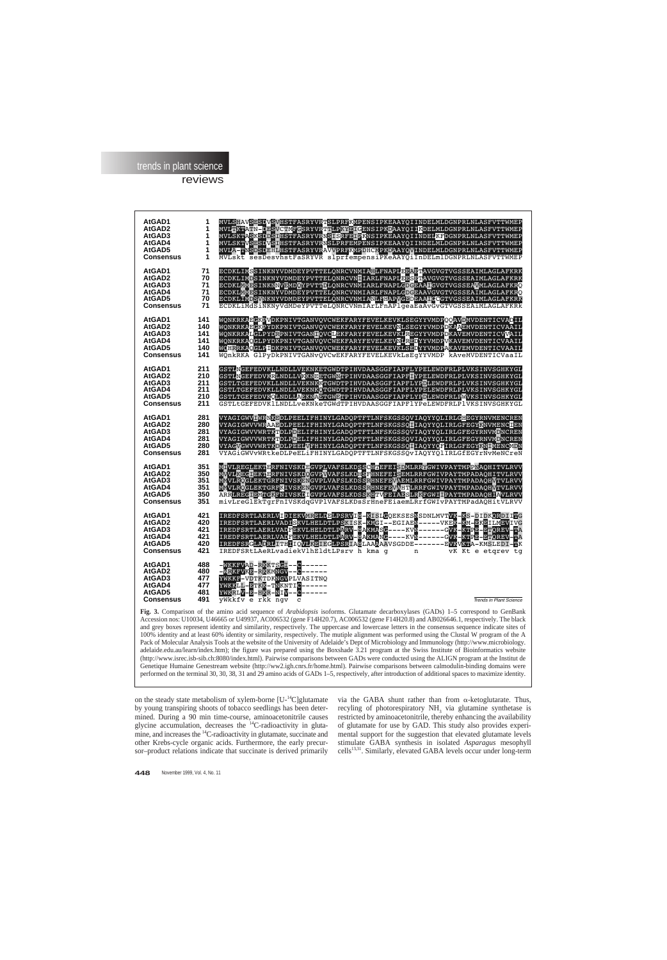## trends in plant science

## reviews

| AtGAD1                                                             | 1                                      | MVLS <mark>HAVSESDVSV</mark> HSTFASRYVR <mark>T</mark> SLPRFKMPENSIPKEAAYOIINDELMLDGNPRLNLASFVTTWMEP                                                                                                                                                                                                                                                                                                                                                |
|--------------------------------------------------------------------|----------------------------------------|-----------------------------------------------------------------------------------------------------------------------------------------------------------------------------------------------------------------------------------------------------------------------------------------------------------------------------------------------------------------------------------------------------------------------------------------------------|
| AtGAD <sub>2</sub>                                                 | 1                                      | MVL <mark>TKTATN-DESVCTMFC</mark> SRYVR <mark>TTLPKYETG</mark> ENSIPKDAAYQIIKDELMLDGNPRLNLASFVTTWMEP                                                                                                                                                                                                                                                                                                                                                |
| AtGAD3                                                             | 1                                      | MVLSKTASKSDDSIHSTFASRYVRNSISRFEIPKNSIPKEAAYQIINDEL <mark>KF</mark> DGNPRLNLASFVTTWMEP                                                                                                                                                                                                                                                                                                                                                               |
| AtGAD4                                                             | 1                                      | MVLSKT <mark>VSE</mark> SDVS <b>I</b> HSTFASRYVR <mark>N</mark> SLPRFEMPENSIPKEAAYQIINDELMLDGNPRLNLASFVTTWMEP                                                                                                                                                                                                                                                                                                                                       |
| AtGAD5                                                             | 1                                      | MVL <mark>A-TNSD</mark> SD <mark>EHL</mark> HSTFASRYVR <mark>AVV</mark> PRF <mark>KMPDHCM</mark> PKDAAYQVINDELMLDGNPRLNLASFVTTWMEP                                                                                                                                                                                                                                                                                                                  |
| <b>Consensus</b>                                                   | 1                                      | $\overline{\text{MVLskt}}$ sesDesvhstFaSRYVR slprfempensiPKeAAYQiInDELmlDGNPRLNLASFVTTWMEP                                                                                                                                                                                                                                                                                                                                                          |
| AtGAD1                                                             | 71                                     | ECDKLIMSSINKNYVDMDEYPVTTELONRCVNMIAHLFNAPLEEAETAVGVGTVGSSEAIMLAGLAFKRK                                                                                                                                                                                                                                                                                                                                                                              |
| AtGAD2                                                             | 70                                     | ECDKLIMDSINKNYVDMDEYPVTTELQNRCVN <b>I</b> IARLFNAPLEESETAVGVGTVGSSEAIMLAGLAFKRK                                                                                                                                                                                                                                                                                                                                                                     |
| AtGAD3                                                             | 71                                     | ECDKLMMESINKNNVEMD@YPVTTDLQNRCVNMIARLFNAPLGDCEAALGVGTVGSSEAVMLAGLAFKRQ                                                                                                                                                                                                                                                                                                                                                                              |
| AtGAD4                                                             | 71                                     | ECDKL <mark>MME</mark> SINKNYVDMDEYPVTTELONRCVNMIARLFNAPLG <mark>DG</mark> EAAVGVGTVGSSEAIMLAGLAFKRO                                                                                                                                                                                                                                                                                                                                                |
| AtGAD5                                                             | 70                                     | ECDKLIMDSVNKNYVDMDEYPVTTELQNRCVNMIANLFHAPVGEDEAALGCGTVGSSEAIMLAGLAFKRK                                                                                                                                                                                                                                                                                                                                                                              |
| <b>Consensus</b>                                                   | 71                                     | ECDKLiMdSiNKNyVdMDeYPVTTeLQNRCVNmIArLFnAPlgeaEaAvGvGTVGSSEAiMLAGLAFKRk                                                                                                                                                                                                                                                                                                                                                                              |
| AtGAD1                                                             | 141                                    | WQNKRKAEGKPVDKPNIVTGANVQVCWEKFARYFEVELKEVKLSEGYYVMDP <mark>QQ</mark> AVDMVDENTICVADIL                                                                                                                                                                                                                                                                                                                                                               |
| AtGAD2                                                             | 140                                    | WQNKRKA <mark>BCK</mark> PYDKPNIVTGANVQVCWEKFARYFEVELKEV <mark>N</mark> LSEGYYVMDP <mark>DKAA</mark> EMVDENTICVAAIL                                                                                                                                                                                                                                                                                                                                 |
| AtGAD3                                                             | 141                                    | WQNKRKA <mark>L</mark> GLPYDRPNIVTGAN <b>I</b> QVC <mark>L</mark> EKFARYFEVELKEVKLREGYYVMDP <mark>D</mark> KAVEMVDENTICVVAIL                                                                                                                                                                                                                                                                                                                        |
| AtGAD4                                                             | 141                                    | WQNKRKA <mark>Q</mark> GLPYDKPNIVTGANVQVCWEKFARYFEVELKEV <mark>NLRED</mark> YYVMDPVKAVEMVDENTICVAAIL                                                                                                                                                                                                                                                                                                                                                |
| AtGAD5                                                             | 140                                    | WQ <mark>HR</mark> RKAQGLPIDKPNIVTGANVQVCWEKFARYFEVELKEVKLSEDYYVMDP <mark>A</mark> KAVEMVDENTICVAAIL                                                                                                                                                                                                                                                                                                                                                |
| <b>Consensus</b>                                                   | 141                                    | WONKRKA GlPyDkPNIVTGANvQVCwEKFARYFEVELKEVkLsEgYYVMDP KAVeMVDENTICVaaIL                                                                                                                                                                                                                                                                                                                                                                              |
| AtGAD1                                                             | 211                                    | GSTLNGEFEDVKLLNDLLVEKNKETGWDTPIHVDAASGGFIAPFLYPELEWDFRLPLVKSINVSGHKYGL                                                                                                                                                                                                                                                                                                                                                                              |
| AtGAD2                                                             | 210                                    | GSTL <mark>N</mark> GEFEDVK <mark>R</mark> LNDLLV <mark>KKNE</mark> ETGWNTPIHVDAASGGFIAPF <b>I</b> YPELEWDFRLPLVKSINVSGHKYGL                                                                                                                                                                                                                                                                                                                        |
| AtGAD3                                                             | 211                                    | GSTLTGEFEDVKLLNDLLVEKNKKTGWDTPIHVDAASGGFIAPFLYPDLEWDFRLPLVKSINVSGHKYGL                                                                                                                                                                                                                                                                                                                                                                              |
| AtGAD4                                                             | 211                                    | GSTLTGEFEDVKLLNDLLVEKNKOTGWDTPIHVDAASGGFIAPFLYPELEWDFRLPLVKSINVSGHKYGL                                                                                                                                                                                                                                                                                                                                                                              |
| AtGAD5                                                             | 210                                    | GSTLTGEFEDVK <mark>Q</mark> LNDLL <mark>A</mark> EKNAETGWETPIHVDAASGGFIAPFLYPDLEWDFRLPWVKSINVSGHKYGL                                                                                                                                                                                                                                                                                                                                                |
| <b>Consensus</b>                                                   | 211                                    | GSTLtGEFEDVKlLNDLLveKNkeTGWdTPIHVDAASGGFIAPFlYPeLEWDFRLPlVKSINVSGHKYGL                                                                                                                                                                                                                                                                                                                                                                              |
| AtGAD1                                                             | 281                                    | VYAGIGWV <mark>I</mark> WR <mark>NKEDLPEELIFHINYLGADQPTFTLNFSKGSSQVIAQYYQLIRLGHEGYRNVMENC<u>R</u>EN</mark>                                                                                                                                                                                                                                                                                                                                          |
| AtGAD2                                                             | 280                                    | VYAGIGWVVWRAAEDLPEELIFHINYLGADOPTFTLNFSKGSSO <mark>I</mark> IAOYYOLIRLGFEGY <mark>K</mark> NVMENCIEN                                                                                                                                                                                                                                                                                                                                                |
| AtGAD3                                                             | 281                                    | VYAGIGWVVWRTK <mark>T</mark> DLPDELIFHINYLGADQPTFTLNFSKGSSQVIAQYYQLIRLGFEGYRNVMDNCREN                                                                                                                                                                                                                                                                                                                                                               |
| AtGAD4                                                             | 281                                    | VYAGIGWVVWRTK <mark>T</mark> DLPDELIFHINYLGADQPTFTLNFSKGSSQVIAQYYQLIRLGFEGYRNVMDNCREN                                                                                                                                                                                                                                                                                                                                                               |
| AtGAD5                                                             | 280                                    | VYAGVGWVVWRTKDDLPEELVFHINYLGADQPTFTLNFSKGSSQLIAQYYQFIRLGFEGYKNLMENCMDN                                                                                                                                                                                                                                                                                                                                                                              |
| <b>Consensus</b>                                                   | 281                                    | VYAGiGWVvWRtkeDLPeELiFHINYLGADQPTFTLNFSKGSSQvIAQYYQlIRLGfEGYrNvMeNCreN                                                                                                                                                                                                                                                                                                                                                                              |
| AtGAD1                                                             | 351                                    | MIVLREGLEKTERFNIVSKDEGVPLVAFSLKDSSCHTEFEISDMLRRYGWIVPAYTMPPNAOHITVLRVV                                                                                                                                                                                                                                                                                                                                                                              |
| AtGAD2                                                             | 350                                    | M <mark>VVLKEGI</mark> EKTERFNIVSKD <mark>C</mark> GVP <mark>V</mark> VAFSLKD <mark>H</mark> SFHNEFEI <mark>S</mark> EMLRRFGWIVPAYTMPADAQHITVLRVV                                                                                                                                                                                                                                                                                                   |
| AtGAD3                                                             | 351                                    | MMVLROGLEKTGRFNIVSKENGVPLVAFSLKDSSRHNEFEVAEMLRRFGWIVPAYTMPADAQHVTVLRVV                                                                                                                                                                                                                                                                                                                                                                              |
| AtGAD4                                                             | 351                                    | MMVLROGLEKTGRF <mark>K</mark> IVSK <mark>EN</mark> GVPLVAFSLKDSSRHNEFEVAHTLRRFGWIVPAYTMPADAQHVTVLRVV                                                                                                                                                                                                                                                                                                                                                |
| AtGAD5                                                             | 350                                    | ARRLREG <mark>IEMTGKFNIVSKDI</mark> GVPLVAFSLKDSS <mark>KHTVFEIAE</mark> SLRKFGWIIPAYTMPADAQHIAVLRVV                                                                                                                                                                                                                                                                                                                                                |
| <b>Consensus</b>                                                   | 351                                    | mivLreGlEkTgrFnIVSKdqGVPlVAFSLKDsSrHneFEiaemLRrfGWIvPAYTMPadAQHitVLRVV                                                                                                                                                                                                                                                                                                                                                                              |
| AtGAD1<br>AtGAD2<br>AtGAD3<br>AtGAD4<br>AtGAD5<br><b>Consensus</b> | 421<br>420<br>421<br>421<br>420<br>421 | IREDFSRTLAERLVIDIEKVMRELDELPSRVIH-KISLCQEKSESNSDNLMVTVK-KS-DIDKQRDIITC<br>IREDFSRTLAERLVADISKVLHELDTLPSKISK-KMGI--EGIAEN-----VKEK-KM-EKEILMEVIVG<br>IREDFSRTLAERLVADFEKVLHELDTLPARV-HAKMASG----KVN------GVK-KTPE-ETOREV-TA<br>IREDFSRTLAERLVADFEKVLHELDTLPARV-HAKMANG----KVN------GVK-KTPE-ETQREV-TA<br>IREDFSRGLADRLITHIIQVLKEIEGLPSRIAHLAAAAAVSGDDE-------EVKVKTA-KMSLEDI-TK<br>IREDFSRtLAeRLvadiekVlhEldtLPsrv h kma q<br>vK Kt e etgrev tg<br>n |
| AtGAD1<br>AtGAD2<br>AtGAD3<br>AtGAD4<br>AtGAD5<br><b>Consensus</b> | 488<br>480<br>477<br>477<br>481<br>491 | -WKKFVAD-RKKTSGI--C------<br>-WRKFVKE-RKKMNGV--C--<br>YWKKF-VDTKTDKNGVPLVASITNQ<br>YWKKLL-ETKK-TNKNTIC------<br>YWKRLV-E-HKR-NIV--C-<br>yWkkfv e rkk ngv<br>$\mathbf C$<br>Trends in Plant Science                                                                                                                                                                                                                                                  |

**Fig. 3.** Comparison of the amino acid sequence of *Arabidopsis* isoforms. Glutamate decarboxylases (GADs) 1–5 correspond to GenBank Accession nos: U10034, U46665 or U49937, AC006532 (gene F14H20.7), AC006532 (gene F14H20.8) and AB026646.1, respectively. The black and grey boxes represent identity and similarity, respectively. The uppercase and lowercase letters in the consensus sequence indicate sites of 100% identity and at least 60% identity or similarity, respectively. The mutiple alignment was performed using the Clustal W program of the A Pack of Molecular Analysis Tools at the website of the University of Adelaide's Dept of Microbiology and Immunology (http://www.microbiology. adelaide.edu.au/learn/index.htm); the figure was prepared using the Boxshade 3.21 program at the Swiss Institute of Bioinformatics website (http://www.isrec.isb-sib.ch:8080/index.html). Pairwise comparisons between GADs were conducted using the ALIGN program at the Institut de Genetique Humaine Genestream website (http://ww2.igh.cnrs.fr/home.html). Pairwise comparisons between calmodulin-binding domains were performed on the terminal 30, 30, 38, 31 and 29 amino acids of GADs 1–5, respectively, after introduction of additional spaces to maximize identity.

on the steady state metabolism of xylem-borne  $[U^{-14}C]$ glutamate by young transpiring shoots of tobacco seedlings has been determined. During a 90 min time-course, aminoacetonitrile causes glycine accumulation, decreases the  $^{14}$ C-radioactivity in glutamine, and increases the <sup>14</sup>C-radioactivity in glutamate, succinate and other Krebs-cycle organic acids. Furthermore, the early precursor–product relations indicate that succinate is derived primarily

via the GABA shunt rather than from  $\alpha$ -ketoglutarate. Thus, recyling of photorespiratory  $NH<sub>3</sub>$  via glutamine synthetase is restricted by aminoacetonitrile, thereby enhancing the availability of glutamate for use by GAD. This study also provides experimental support for the suggestion that elevated glutamate levels stimulate GABA synthesis in isolated *Asparagus* mesophyll cells<sup>13,31</sup>. Similarly, elevated GABA levels occur under long-term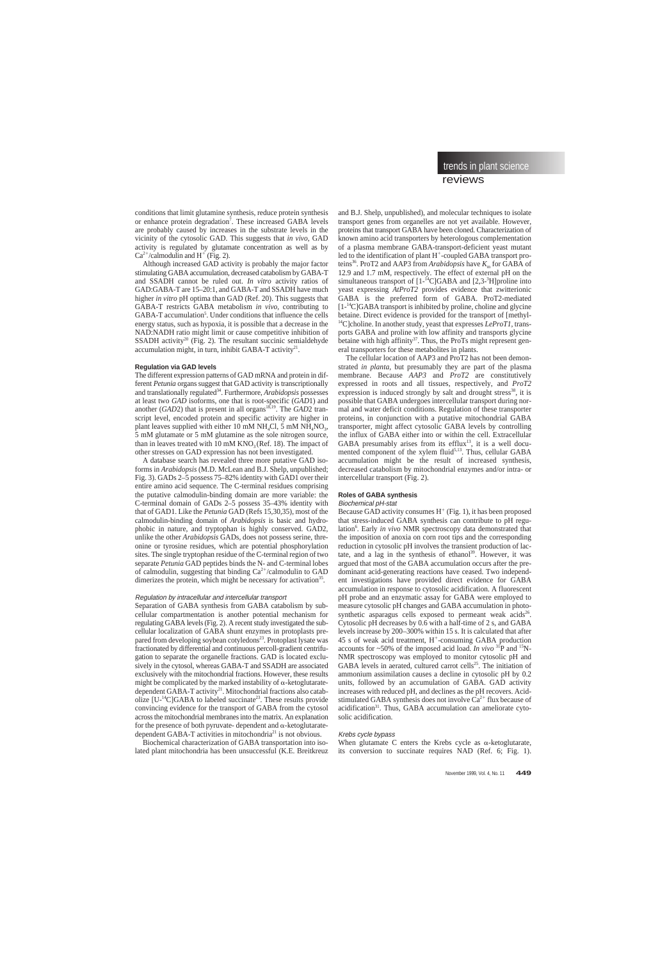conditions that limit glutamine synthesis, reduce protein synthesis or enhance protein degradation<sup>7</sup>. These increased GABA levels are probably caused by increases in the substrate levels in the vicinity of the cytosolic GAD. This suggests that *in vivo*, GAD activity is regulated by glutamate concentration as well as by  $Ca^{2+}/calmoduli$ n and H<sup>+</sup> (Fig. 2).

Although increased GAD activity is probably the major factor stimulating GABA accumulation, decreased catabolism by GABA-T and SSADH cannot be ruled out. *In vitro* activity ratios of GAD:GABA-T are 15–20:1, and GABA-T and SSADH have much higher *in vitro* pH optima than GAD (Ref. 20). This suggests that GABA-T restricts GABA metabolism *in vivo*, contributing to GABA-T accumulation<sup>5</sup>. Under conditions that influence the cells energy status, such as hypoxia, it is possible that a decrease in the NAD:NADH ratio might limit or cause competitive inhibition of SSADH activity<sup>20</sup> (Fig. 2). The resultant succinic semialdehyde accumulation might, in turn, inhibit GABA-T activity<sup>21</sup>.

## **Regulation via GAD levels**

The different expression patterns of GAD mRNA and protein in different *Petunia* organs suggest that GAD activity is transcriptionally and translationally regulated<sup>34</sup>. Furthermore, *Arabidopsis* possesses at least two *GAD* isoforms, one that is root-specific (*GAD*1) and another (*GAD*2) that is present in all organs<sup>18,19</sup>. The *GAD*2 transcript level, encoded protein and specific activity are higher in plant leaves supplied with either 10 mM NH<sub>4</sub>Cl, 5 mM NH<sub>4</sub>NO<sub>3</sub>, 5 mM glutamate or 5 mM glutamine as the sole nitrogen source, than in leaves treated with 10 mM  $KNO<sub>3</sub>(Ref. 18)$ . The impact of other stresses on GAD expression has not been investigated.

A database search has revealed three more putative GAD isoforms in *Arabidopsis* (M.D. McLean and B.J. Shelp, unpublished; Fig. 3). GADs 2–5 possess 75–82% identity with GAD1 over their entire amino acid sequence. The C-terminal residues comprising the putative calmodulin-binding domain are more variable: the C-terminal domain of GADs 2–5 possess 35–43% identity with that of GAD1. Like the *Petunia* GAD (Refs 15,30,35), most of the calmodulin-binding domain of *Arabidopsis* is basic and hydrophobic in nature, and tryptophan is highly conserved. GAD2, unlike the other *Arabidopsis* GADs, does not possess serine, threonine or tyrosine residues, which are potential phosphorylation sites. The single tryptophan residue of the C-terminal region of two separate *Petunia* GAD peptides binds the N- and C-terminal lobes of calmodulin, suggesting that binding  $Ca^{2+}/c$ almodulin to GAD dimerizes the protein, which might be necessary for activation<sup>35</sup>.

#### Regulation by intracellular and intercellular transport

Separation of GABA synthesis from GABA catabolism by subcellular compartmentation is another potential mechanism for regulating GABA levels (Fig. 2). A recent study investigated the subcellular localization of GABA shunt enzymes in protoplasts prepared from developing soybean cotyledons<sup>23</sup>. Protoplast lysate was fractionated by differential and continuous percoll-gradient centrifugation to separate the organelle fractions. GAD is located exclusively in the cytosol, whereas GABA-T and SSADH are associated exclusively with the mitochondrial fractions. However, these results might be complicated by the marked instability of  $\alpha$ -ketoglutaratedependent GABA-T activity<sup>21</sup>. Mitochondrial fractions also catabolize  $[U^{-14}C]GABA$  to labeled succinate<sup>23</sup>. These results provide convincing evidence for the transport of GABA from the cytosol across the mitochondrial membranes into the matrix. An explanation for the presence of both pyruvate- dependent and  $\alpha$ -ketoglutaratedependent GABA-T activities in mitochondria<sup>21</sup> is not obvious.

Biochemical characterization of GABA transportation into isolated plant mitochondria has been unsuccessful (K.E. Breitkreuz and B.J. Shelp, unpublished), and molecular techniques to isolate transport genes from organelles are not yet available. However, proteins that transport GABA have been cloned. Characterization of known amino acid transporters by heterologous complementation of a plasma membrane GABA-transport-deficient yeast mutant led to the identification of plant H<sup>+</sup>-coupled GABA transport proteins<sup>36</sup>. ProT2 and AAP3 from *Arabidopsis* have  $K<sub>m</sub>$  for GABA of 12.9 and 1.7 mM, respectively. The effect of external pH on the simultaneous transport of  $[1^{-14}C]GABA$  and  $[2,3^{-3}H]$ proline into yeast expressing *AtProT2* provides evidence that zwitterionic GABA is the preferred form of GABA. ProT2-mediated  $[1 - {}^{14}C]GABA$  transport is inhibited by proline, choline and glycine betaine. Direct evidence is provided for the transport of [methyl-14C]choline. In another study, yeast that expresses *LeProT1*, transports GABA and proline with low affinity and transports glycine betaine with high affinity<sup>37</sup>. Thus, the ProTs might represent general transporters for these metabolites in plants.

The cellular location of AAP3 and ProT2 has not been demonstrated *in planta*, but presumably they are part of the plasma membrane. Because *AAP3* and *ProT2* are constitutively expressed in roots and all tissues, respectively, and *ProT2* expression is induced strongly by salt and drought stress $^{38}$ , it is possible that GABA undergoes intercellular transport during normal and water deficit conditions. Regulation of these transporter proteins, in conjunction with a putative mitochondrial GABA transporter, might affect cytosolic GABA levels by controlling the influx of GABA either into or within the cell. Extracellular GABA presumably arises from its efflux $13$ , it is a well documented component of the xylem fluid<sup>5,13</sup>. Thus, cellular GABA accumulation might be the result of increased synthesis, decreased catabolism by mitochondrial enzymes and/or intra- or intercellular transport (Fig. 2).

## **Roles of GABA synthesis**

## Biochemical pH-stat

Because GAD activity consumes  $H^+$  (Fig. 1), it has been proposed that stress-induced GABA synthesis can contribute to pH regulation<sup>6</sup>. Early *in vivo* NMR spectroscopy data demonstrated that the imposition of anoxia on corn root tips and the corresponding reduction in cytosolic pH involves the transient production of lactate, and a lag in the synthesis of ethanol<sup>39</sup>. However, it was argued that most of the GABA accumulation occurs after the predominant acid-generating reactions have ceased. Two independent investigations have provided direct evidence for GABA accumulation in response to cytosolic acidification. A fluorescent pH probe and an enzymatic assay for GABA were employed to measure cytosolic pH changes and GABA accumulation in photosynthetic asparagus cells exposed to permeant weak  $acids^{26}$ . Cytosolic pH decreases by 0.6 with a half-time of 2 s, and GABA levels increase by 200–300% within 15 s. It is calculated that after 45 s of weak acid treatment,  $H^+$ -consuming GABA production accounts for ~50% of the imposed acid load. *In vivo* 31P and 15N-NMR spectroscopy was employed to monitor cytosolic pH and GABA levels in aerated, cultured carrot cells<sup>25</sup>. The initiation of ammonium assimilation causes a decline in cytosolic pH by 0.2 units, followed by an accumulation of GABA. GAD activity increases with reduced pH, and declines as the pH recovers. Acidstimulated GABA synthesis does not involve  $Ca^{2+}$  flux because of acidification<sup>31</sup>. Thus, GABA accumulation can ameliorate cytosolic acidification.

#### Krebs cycle bypass

When glutamate C enters the Krebs cycle as  $\alpha$ -ketoglutarate, its conversion to succinate requires NAD (Ref. 6; Fig. 1).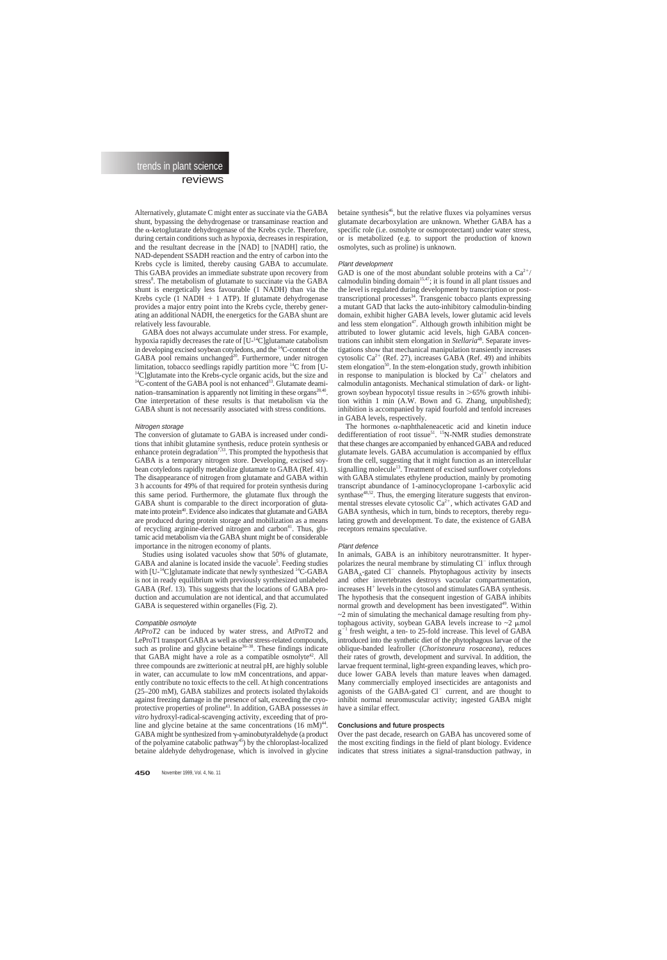## reviews

Alternatively, glutamate C might enter as succinate via the GABA shunt, bypassing the dehydrogenase or transaminase reaction and the  $\alpha$ -ketoglutarate dehydrogenase of the Krebs cycle. Therefore, during certain conditions such as hypoxia, decreases in respiration, and the resultant decrease in the [NAD] to [NADH] ratio, the NAD-dependent SSADH reaction and the entry of carbon into the Krebs cycle is limited, thereby causing GABA to accumulate. This GABA provides an immediate substrate upon recovery from stress<sup>8</sup>. The metabolism of glutamate to succinate via the GABA shunt is energetically less favourable (1 NADH) than via the Krebs cycle (1 NADH  $+$  1 ATP). If glutamate dehydrogenase provides a major entry point into the Krebs cycle, thereby generating an additional NADH, the energetics for the GABA shunt are relatively less favourable.

GABA does not always accumulate under stress. For example, hypoxia rapidly decreases the rate of  $[U^{-14}C]$ glutamate catabolism in developing excised soybean cotyledons, and the 14C-content of the GABA pool remains unchanged<sup>20</sup>. Furthermore, under nitrogen limitation, tobacco seedlings rapidly partition more  $^{14}$ C from [U-<sup>14</sup>C]glutamate into the Krebs-cycle organic acids, but the size and  $14$ C-content of the GABA pool is not enhanced<sup>33</sup>. Glutamate deamination–transamination is apparently not limiting in these organs<sup>20,40</sup>. One interpretation of these results is that metabolism via the GABA shunt is not necessarily associated with stress conditions.

## Nitrogen storage

The conversion of glutamate to GABA is increased under conditions that inhibit glutamine synthesis, reduce protein synthesis or enhance protein degradation<sup>7,33</sup>. This prompted the hypothesis that GABA is a temporary nitrogen store. Developing, excised soybean cotyledons rapidly metabolize glutamate to GABA (Ref. 41). The disappearance of nitrogen from glutamate and GABA within 3 h accounts for 49% of that required for protein synthesis during this same period. Furthermore, the glutamate flux through the GABA shunt is comparable to the direct incorporation of glutamate into protein<sup>40</sup>. Evidence also indicates that glutamate and GABA are produced during protein storage and mobilization as a means of recycling arginine-derived nitrogen and carbon<sup>41</sup>. Thus, glutamic acid metabolism via the GABA shunt might be of considerable importance in the nitrogen economy of plants.

Studies using isolated vacuoles show that 50% of glutamate, GABA and alanine is located inside the vacuole<sup>5</sup>. Feeding studies with  $[U^{-14}C]$ glutamate indicate that newly synthesized  $^{14}C$ -GABA is not in ready equilibrium with previously synthesized unlabeled GABA (Ref. 13). This suggests that the locations of GABA production and accumulation are not identical, and that accumulated GABA is sequestered within organelles (Fig. 2).

## Compatible osmolyte

*AtProT2* can be induced by water stress, and AtProT2 and LeProT1 transport GABA as well as other stress-related compounds, such as proline and glycine betaine $36-38$ . These findings indicate that GABA might have a role as a compatible osmolyte<sup>42</sup>. All three compounds are zwitterionic at neutral pH, are highly soluble in water, can accumulate to low mM concentrations, and apparently contribute no toxic effects to the cell. At high concentrations (25–200 mM), GABA stabilizes and protects isolated thylakoids against freezing damage in the presence of salt, exceeding the cryoprotective properties of proline43. In addition, GABA possesses *in vitro* hydroxyl-radical-scavenging activity, exceeding that of proline and glycine betaine at the same concentrations  $(16 \text{ mM})^{44}$ . GABA might be synthesized from  $\gamma$ -aminobutyraldehyde (a product of the polyamine catabolic pathway<sup>45</sup>) by the chloroplast-localized betaine aldehyde dehydrogenase, which is involved in glycine

## Plant development

GAD is one of the most abundant soluble proteins with a  $Ca^{2+}/$ calmodulin binding domain $15,47$ ; it is found in all plant tissues and the level is regulated during development by transcription or posttranscriptional processes<sup>34</sup>. Transgenic tobacco plants expressing a mutant GAD that lacks the auto-inhibitory calmodulin-binding domain, exhibit higher GABA levels, lower glutamic acid levels and less stem elongation<sup>47</sup>. Although growth inhibition might be attributed to lower glutamic acid levels, high GABA concentrations can inhibit stem elongation in *Stellaria*48. Separate investigations show that mechanical manipulation transiently increases cytosolic  $Ca^{2+}$  (Ref. 27), increases GABA (Ref. 49) and inhibits stem elongation<sup>50</sup>. In the stem-elongation study, growth inhibition in response to manipulation is blocked by  $Ca^{2+}$  chelators and calmodulin antagonists. Mechanical stimulation of dark- or lightgrown soybean hypocotyl tissue results in  $>65\%$  growth inhibition within 1 min (A.W. Bown and G. Zhang, unpublished); inhibition is accompanied by rapid fourfold and tenfold increases in GABA levels, respectively.

The hormones  $\alpha$ -naphthaleneacetic acid and kinetin induce dedifferentiation of root tissue<sup>51</sup>. <sup>15</sup>N-NMR studies demonstrate that these changes are accompanied by enhanced GABA and reduced glutamate levels. GABA accumulation is accompanied by efflux from the cell, suggesting that it might function as an intercellular signalling molecule<sup>13</sup>. Treatment of excised sunflower cotyledons with GABA stimulates ethylene production, mainly by promoting transcript abundance of 1-aminocyclopropane 1-carboxylic acid synthase $48,52$ . Thus, the emerging literature suggests that environmental stresses elevate cytosolic  $Ca^{2+}$ , which activates GAD and GABA synthesis, which in turn, binds to receptors, thereby regulating growth and development. To date, the existence of GABA receptors remains speculative.

### Plant defence

In animals, GABA is an inhibitory neurotransmitter. It hyperpolarizes the neural membrane by stimulating  $Cl^-$  influx through  $GABA_{\lambda}$ -gated Cl<sup>-</sup> channels. Phytophagous activity by insects and other invertebrates destroys vacuolar compartmentation, increases  $H^+$  levels in the cytosol and stimulates GABA synthesis. The hypothesis that the consequent ingestion of GABA inhibits normal growth and development has been investigated<sup>49</sup>. Within  $\sim$ 2 min of simulating the mechanical damage resulting from phytophagous activity, soybean GABA levels increase to  $\sim$ 2  $\mu$ mol  $g^{-1}$  fresh weight, a ten- to 25-fold increase. This level of GABA introduced into the synthetic diet of the phytophagous larvae of the oblique-banded leafroller (*Choristoneura rosaceana*), reduces their rates of growth, development and survival. In addition, the larvae frequent terminal, light-green expanding leaves, which produce lower GABA levels than mature leaves when damaged. Many commercially employed insecticides are antagonists and agonists of the GABA-gated  $Cl^-$  current, and are thought to inhibit normal neuromuscular activity; ingested GABA might have a similar effect.

## **Conclusions and future prospects**

Over the past decade, research on GABA has uncovered some of the most exciting findings in the field of plant biology. Evidence indicates that stress initiates a signal-transduction pathway, in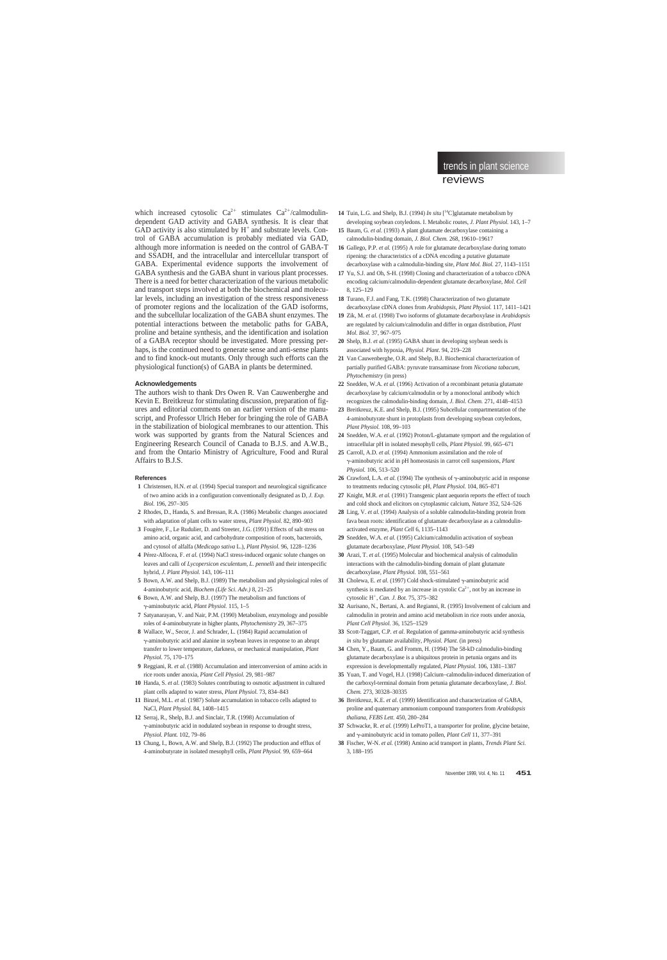which increased cytosolic  $Ca^{2+}$  stimulates  $Ca^{2+}/cal$ calmodulindependent GAD activity and GABA synthesis. It is clear that GAD activity is also stimulated by  $H^+$  and substrate levels. Control of GABA accumulation is probably mediated via GAD, although more information is needed on the control of GABA-T and SSADH, and the intracellular and intercellular transport of GABA. Experimental evidence supports the involvement of GABA synthesis and the GABA shunt in various plant processes. There is a need for better characterization of the various metabolic and transport steps involved at both the biochemical and molecular levels, including an investigation of the stress responsiveness of promoter regions and the localization of the GAD isoforms, and the subcellular localization of the GABA shunt enzymes. The potential interactions between the metabolic paths for GABA, proline and betaine synthesis, and the identification and isolation of a GABA receptor should be investigated. More pressing perhaps, is the continued need to generate sense and anti-sense plants and to find knock-out mutants. Only through such efforts can the physiological function(s) of GABA in plants be determined.

## **Acknowledgements**

The authors wish to thank Drs Owen R. Van Cauwenberghe and Kevin E. Breitkreuz for stimulating discussion, preparation of figures and editorial comments on an earlier version of the manuscript, and Professor Ulrich Heber for bringing the role of GABA in the stabilization of biological membranes to our attention. This work was supported by grants from the Natural Sciences and Engineering Research Council of Canada to B.J.S. and A.W.B., and from the Ontario Ministry of Agriculture, Food and Rural Affairs to B.J.S.

## **References**

- **1** Christensen, H.N. *et al.* (1994) Special transport and neurological significance of two amino acids in a configuration conventionally designated as D, *J. Exp. Biol.* 196, 297–305
- **2** Rhodes, D., Handa, S. and Bressan, R.A. (1986) Metabolic changes associated with adaptation of plant cells to water stress, *Plant Physiol.* 82, 890–903
- **3** Fougère, F., Le Rudulier, D. and Streeter, J.G. (1991) Effects of salt stress on amino acid, organic acid, and carbohydrate composition of roots, bacteroids, and cytosol of alfalfa (*Medicago sativa* L.), *Plant Physiol.* 96, 1228–1236
- **4** Pérez-Alfocea, F. *et al.* (1994) NaCl stress-induced organic solute changes on leaves and calli of *Lycopersicon esculentum*, *L. pennelli* and their interspecific hybrid, *J. Plant Physiol.* 143, 106–111
- **5** Bown, A.W. and Shelp, B.J. (1989) The metabolism and physiological roles of 4-aminobutyric acid, *Biochem (Life Sci. Adv.)* 8, 21–25
- **6** Bown, A.W. and Shelp, B.J. (1997) The metabolism and functions of g-aminobutyric acid, *Plant Physiol.* 115, 1–5
- **7** Satyanarayan, V. and Nair, P.M. (1990) Metabolism, enzymology and possible roles of 4-aminobutyrate in higher plants, *Phytochemistry* 29, 367–375
- **8** Wallace, W., Secor, J. and Schrader, L. (1984) Rapid accumulation of g-aminobutyric acid and alanine in soybean leaves in response to an abrupt transfer to lower temperature, darkness, or mechanical manipulation, *Plant Physiol.* 75, 170–175
- **9** Reggiani, R. *et al.* (1988) Accumulation and interconversion of amino acids in rice roots under anoxia, *Plant Cell Physiol.* 29, 981–987
- **10** Handa, S. *et al.* (1983) Solutes contributing to osmotic adjustment in cultured plant cells adapted to water stress, *Plant Physiol.* 73, 834–843
- **11** Binzel, M.L. *et al.* (1987) Solute accumulation in tobacco cells adapted to NaCl, *Plant Physiol.* 84, 1408–1415
- **12** Serraj, R., Shelp, B.J. and Sinclair, T.R. (1998) Accumulation of g-aminobutyric acid in nodulated soybean in response to drought stress, *Physiol. Plant.* 102, 79–86
- **13** Chung, I., Bown, A.W. and Shelp, B.J. (1992) The production and efflux of 4-aminobutyrate in isolated mesophyll cells, *Plant Physiol.* 99, 659–664
- **14** Tuin, L.G. and Shelp, B.J. (1994) *In situ* [ 14C]glutamate metabolism by developing soybean cotyledons. I. Metabolic routes, *J. Plant Physiol.* 143, 1–7
- **15** Baum, G. *et al.* (1993) A plant glutamate decarboxylase containing a calmodulin-binding domain, *J. Biol. Chem.* 268, 19610–19617
- **16** Gallego, P.P. *et al.* (1995) A role for glutamate decarboxylase during tomato ripening: the characteristics of a cDNA encoding a putative glutamate decarboxylase with a calmodulin-binding site, *Plant Mol. Biol.* 27, 1143–1151
- **17** Yu, S.J. and Oh, S-H. (1998) Cloning and characterization of a tobacco cDNA encoding calcium/calmodulin-dependent glutamate decarboxylase, *Mol. Cell* 8, 125–129
- **18** Turano, F.J. and Fang, T.K. (1998) Characterization of two glutamate decarboxylase cDNA clones from *Arabidopsis*, *Plant Physiol.* 117, 1411–1421
- **19** Zik, M. *et al.* (1998) Two isoforms of glutamate decarboxylase in *Arabidopsis* are regulated by calcium/calmodulin and differ in organ distribution, *Plant Mol. Biol.* 37, 967–975
- **20** Shelp, B.J. *et al.* (1995) GABA shunt in developing soybean seeds is associated with hypoxia, *Physiol. Plant.* 94, 219–228
- **21** Van Cauwenberghe, O.R. and Shelp, B.J. Biochemical characterization of partially purified GABA: pyruvate transaminase from *Nicotiana tabacum*, *Phytochemistry* (in press)
- **22** Snedden, W.A. *et al.* (1996) Activation of a recombinant petunia glutamate decarboxylase by calcium/calmodulin or by a monoclonal antibody which recognizes the calmodulin-binding domain, *J. Biol. Chem.* 271, 4148–4153
- **23** Breitkreuz, K.E. and Shelp, B.J. (1995) Subcellular compartmentation of the 4-aminobutyrate shunt in protoplasts from developing soybean cotyledons, *Plant Physiol.* 108, 99–103
- **24** Snedden, W.A. *et al.* (1992) Proton/L-glutamate symport and the regulation of intracellular pH in isolated mesophyll cells, *Plant Physiol.* 99, 665–671
- **25** Carroll, A.D. *et al.* (1994) Ammonium assimilation and the role of g-aminobutyric acid in pH homeostasis in carrot cell suspensions, *Plant Physiol.* 106, 513–520
- **26** Crawford, L.A. *et al.* (1994) The synthesis of  $\gamma$ -aminobutyric acid in response to treatments reducing cytosolic pH, *Plant Physiol.* 104, 865–871
- **27** Knight, M.R. *et al.* (1991) Transgenic plant aequorin reports the effect of touch and cold shock and elicitors on cytoplasmic calcium, *Nature* 352, 524–526
- **28** Ling, V. *et al.* (1994) Analysis of a soluble calmodulin-binding protein from fava bean roots: identification of glutamate decarboxylase as a calmodulinactivated enzyme, *Plant Cell* 6, 1135–1143
- **29** Snedden, W.A. *et al.* (1995) Calcium/calmodulin activation of soybean glutamate decarboxylase, *Plant Physiol.* 108, 543–549
- **30** Arazi, T. *et al.* (1995) Molecular and biochemical analysis of calmodulin interactions with the calmodulin-binding domain of plant glutamate decarboxylase, *Plant Physiol.* 108, 551–561
- **31** Cholewa, E. *et al.* (1997) Cold shock-stimulated  $\gamma$ -aminobutyric acid synthesis is mediated by an increase in cystolic  $Ca^{2+}$ , not by an increase in cytosolic H<sup>1</sup>, *Can. J. Bot.* 75, 375–382
- **32** Aurisano, N., Bertani, A. and Regianni, R. (1995) Involvement of calcium and calmodulin in protein and amino acid metabolism in rice roots under anoxia, *Plant Cell Physiol.* 36, 1525–1529
- **33** Scott-Taggart, C.P. *et al.* Regulation of gamma-aminobutyric acid synthesis *in situ* by glutamate availability, *Physiol. Plant.* (in press)
- **34** Chen, Y., Baum, G. and Fromm, H. (1994) The 58-kD calmodulin-binding glutamate decarboxylase is a ubiquitous protein in petunia organs and its expression is developmentally regulated, *Plant Physiol.* 106, 1381–1387
- **35** Yuan, T. and Vogel, H.J. (1998) Calcium–calmodulin-induced dimerization of the carboxyl-terminal domain from petunia glutamate decarboxylase, *J. Biol. Chem.* 273, 30328–30335
- **36** Breitkreuz, K.E. *et al.* (1999) Identification and characterization of GABA, proline and quaternary ammonium compound transporters from *Arabidopsis thaliana*, *FEBS Lett.* 450, 280–284
- **37** Schwacke, R. *et al.* (1999) LeProT1, a transporter for proline, glycine betaine, and g-aminobutyric acid in tomato pollen, *Plant Cell* 11, 377–391
- **38** Fischer, W-N. *et al.* (1998) Amino acid transport in plants, *Trends Plant Sci.* 3, 188–195